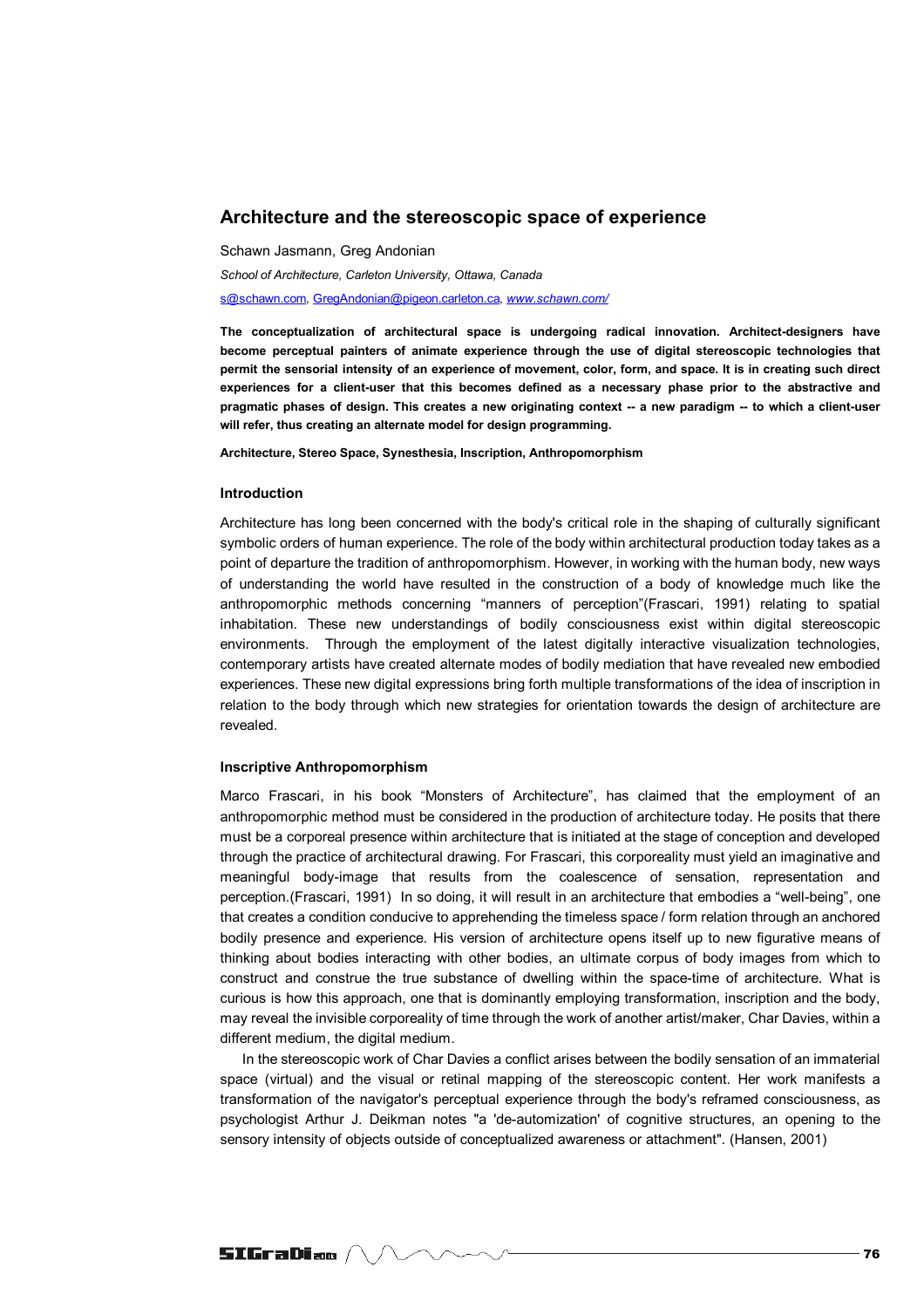# **Architecture and the stereoscopic space of experience**

Schawn Jasmann, Greg Andonian

*School of Architecture, Carleton University, Ottawa, Canada*  s@schawn.com*,* GregAndonian@pigeon.carleton.ca*, www.schawn.com/*

**The conceptualization of architectural space is undergoing radical innovation. Architect-designers have become perceptual painters of animate experience through the use of digital stereoscopic technologies that permit the sensorial intensity of an experience of movement, color, form, and space. It is in creating such direct experiences for a client-user that this becomes defined as a necessary phase prior to the abstractive and pragmatic phases of design. This creates a new originating context -- a new paradigm -- to which a client-user will refer, thus creating an alternate model for design programming.** 

**Architecture, Stereo Space, Synesthesia, Inscription, Anthropomorphism**

#### **Introduction**

Architecture has long been concerned with the body's critical role in the shaping of culturally significant symbolic orders of human experience. The role of the body within architectural production today takes as a point of departure the tradition of anthropomorphism. However, in working with the human body, new ways of understanding the world have resulted in the construction of a body of knowledge much like the anthropomorphic methods concerning "manners of perception"(Frascari, 1991) relating to spatial inhabitation. These new understandings of bodily consciousness exist within digital stereoscopic environments. Through the employment of the latest digitally interactive visualization technologies, contemporary artists have created alternate modes of bodily mediation that have revealed new embodied experiences. These new digital expressions bring forth multiple transformations of the idea of inscription in relation to the body through which new strategies for orientation towards the design of architecture are revealed.

### **Inscriptive Anthropomorphism**

Marco Frascari, in his book "Monsters of Architecture", has claimed that the employment of an anthropomorphic method must be considered in the production of architecture today. He posits that there must be a corporeal presence within architecture that is initiated at the stage of conception and developed through the practice of architectural drawing. For Frascari, this corporeality must yield an imaginative and meaningful body-image that results from the coalescence of sensation, representation and perception.(Frascari, 1991) In so doing, it will result in an architecture that embodies a "well-being", one that creates a condition conducive to apprehending the timeless space / form relation through an anchored bodily presence and experience. His version of architecture opens itself up to new figurative means of thinking about bodies interacting with other bodies, an ultimate corpus of body images from which to construct and construe the true substance of dwelling within the space-time of architecture. What is curious is how this approach, one that is dominantly employing transformation, inscription and the body, may reveal the invisible corporeality of time through the work of another artist/maker, Char Davies, within a different medium, the digital medium.

In the stereoscopic work of Char Davies a conflict arises between the bodily sensation of an immaterial space (virtual) and the visual or retinal mapping of the stereoscopic content. Her work manifests a transformation of the navigator's perceptual experience through the body's reframed consciousness, as psychologist Arthur J. Deikman notes "a 'de-automization' of cognitive structures, an opening to the sensory intensity of objects outside of conceptualized awareness or attachment". (Hansen, 2001)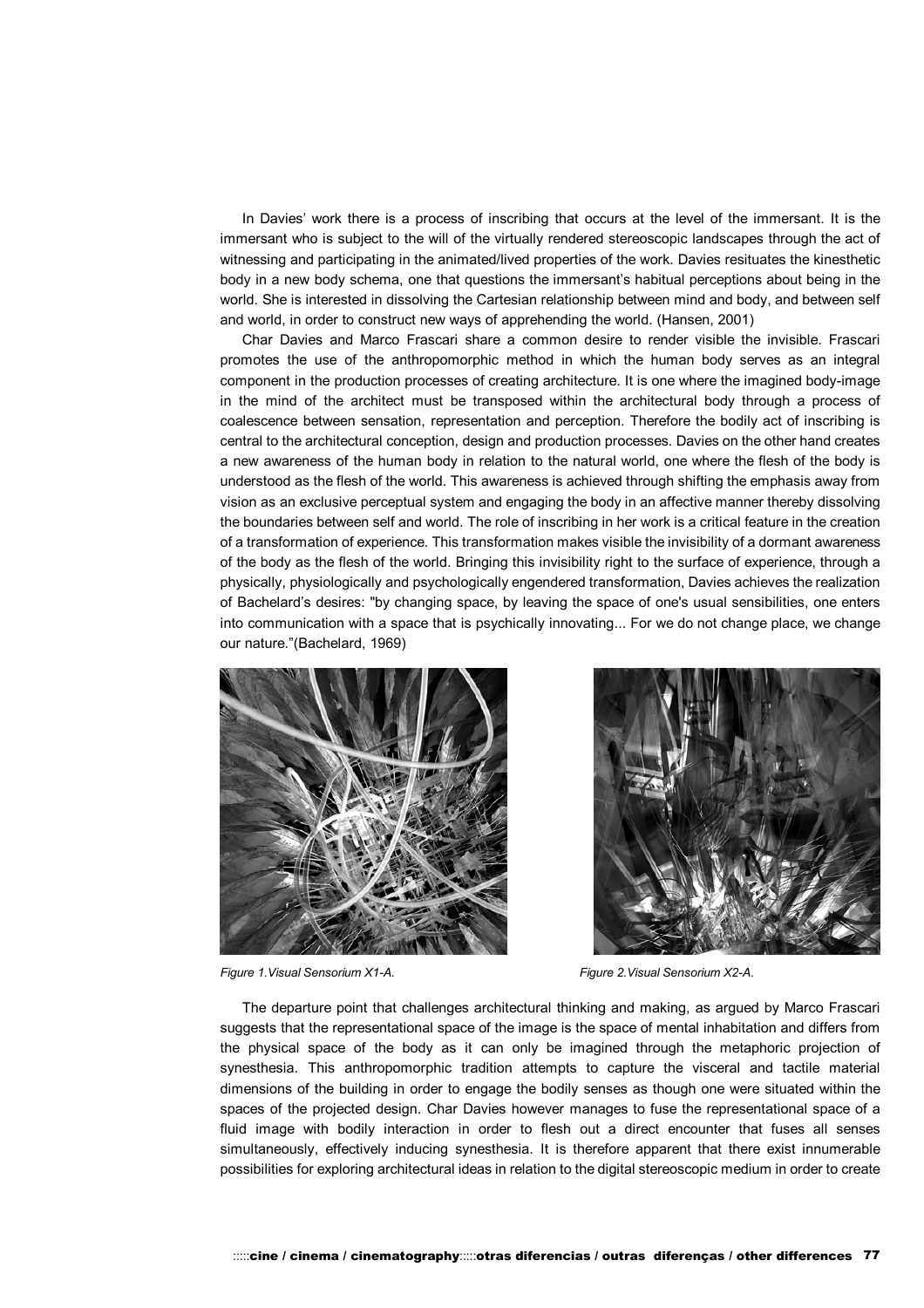In Davies' work there is a process of inscribing that occurs at the level of the immersant. It is the immersant who is subject to the will of the virtually rendered stereoscopic landscapes through the act of witnessing and participating in the animated/lived properties of the work. Davies resituates the kinesthetic body in a new body schema, one that questions the immersant's habitual perceptions about being in the world. She is interested in dissolving the Cartesian relationship between mind and body, and between self and world, in order to construct new ways of apprehending the world. (Hansen, 2001)

Char Davies and Marco Frascari share a common desire to render visible the invisible. Frascari promotes the use of the anthropomorphic method in which the human body serves as an integral component in the production processes of creating architecture. It is one where the imagined body-image in the mind of the architect must be transposed within the architectural body through a process of coalescence between sensation, representation and perception. Therefore the bodily act of inscribing is central to the architectural conception, design and production processes. Davies on the other hand creates a new awareness of the human body in relation to the natural world, one where the flesh of the body is understood as the flesh of the world. This awareness is achieved through shifting the emphasis away from vision as an exclusive perceptual system and engaging the body in an affective manner thereby dissolving the boundaries between self and world. The role of inscribing in her work is a critical feature in the creation of a transformation of experience. This transformation makes visible the invisibility of a dormant awareness of the body as the flesh of the world. Bringing this invisibility right to the surface of experience, through a physically, physiologically and psychologically engendered transformation, Davies achieves the realization of Bachelard's desires: "by changing space, by leaving the space of one's usual sensibilities, one enters into communication with a space that is psychically innovating... For we do not change place, we change our nature."(Bachelard, 1969)





*Figure 1.Visual Sensorium X1-A. Figure 2.Visual Sensorium X2-A.*

The departure point that challenges architectural thinking and making, as argued by Marco Frascari suggests that the representational space of the image is the space of mental inhabitation and differs from the physical space of the body as it can only be imagined through the metaphoric projection of synesthesia. This anthropomorphic tradition attempts to capture the visceral and tactile material dimensions of the building in order to engage the bodily senses as though one were situated within the spaces of the projected design. Char Davies however manages to fuse the representational space of a fluid image with bodily interaction in order to flesh out a direct encounter that fuses all senses simultaneously, effectively inducing synesthesia. It is therefore apparent that there exist innumerable possibilities for exploring architectural ideas in relation to the digital stereoscopic medium in order to create